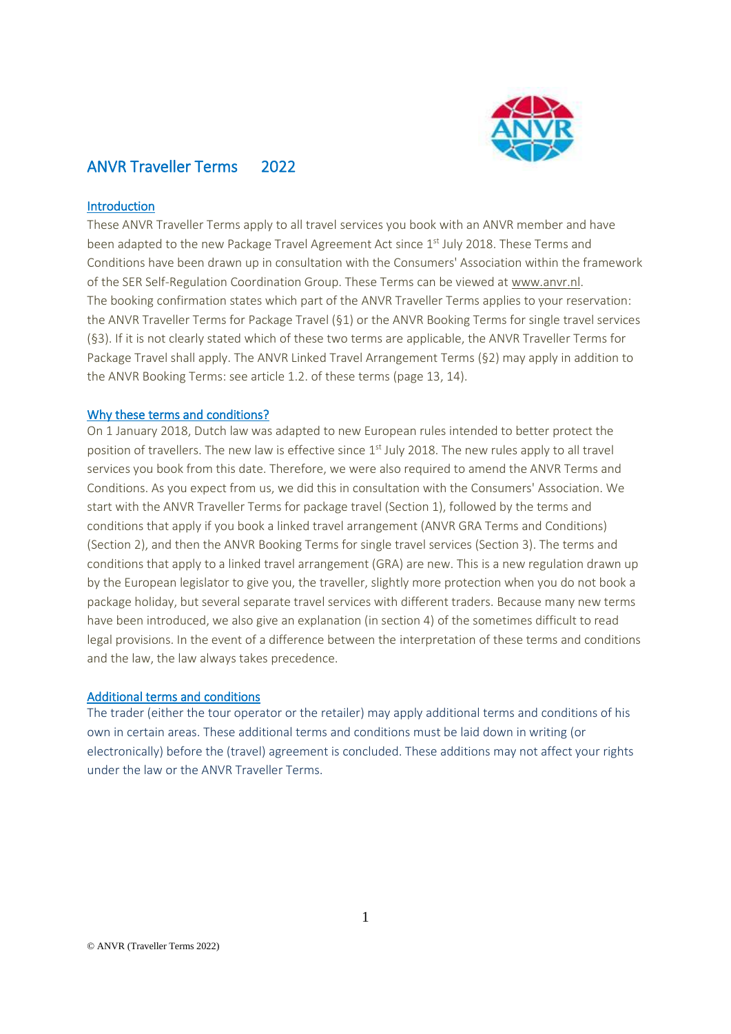

# ANVR Traveller Terms 2022

### Introduction

These ANVR Traveller Terms apply to all travel services you book with an ANVR member and have been adapted to the new Package Travel Agreement Act since 1<sup>st</sup> July 2018. These Terms and Conditions have been drawn up in consultation with the Consumers' Association within the framework of the SER Self-Regulation Coordination Group. These Terms can be viewed a[t www.anvr.nl.](http://www.anvr.nl/) The booking confirmation states which part of the ANVR Traveller Terms applies to your reservation: the ANVR Traveller Terms for Package Travel (§1) or the ANVR Booking Terms for single travel services (§3). If it is not clearly stated which of these two terms are applicable, the ANVR Traveller Terms for Package Travel shall apply. The ANVR Linked Travel Arrangement Terms (§2) may apply in addition to the ANVR Booking Terms: see article 1.2. of these terms (page 13, 14).

### Why these terms and conditions?

On 1 January 2018, Dutch law was adapted to new European rules intended to better protect the position of travellers. The new law is effective since 1<sup>st</sup> July 2018. The new rules apply to all travel services you book from this date. Therefore, we were also required to amend the ANVR Terms and Conditions. As you expect from us, we did this in consultation with the Consumers' Association. We start with the ANVR Traveller Terms for package travel (Section 1), followed by the terms and conditions that apply if you book a linked travel arrangement (ANVR GRA Terms and Conditions) (Section 2), and then the ANVR Booking Terms for single travel services (Section 3). The terms and conditions that apply to a linked travel arrangement (GRA) are new. This is a new regulation drawn up by the European legislator to give you, the traveller, slightly more protection when you do not book a package holiday, but several separate travel services with different traders. Because many new terms have been introduced, we also give an explanation (in section 4) of the sometimes difficult to read legal provisions. In the event of a difference between the interpretation of these terms and conditions and the law, the law always takes precedence.

### Additional terms and conditions

The trader (either the tour operator or the retailer) may apply additional terms and conditions of his own in certain areas. These additional terms and conditions must be laid down in writing (or electronically) before the (travel) agreement is concluded. These additions may not affect your rights under the law or the ANVR Traveller Terms.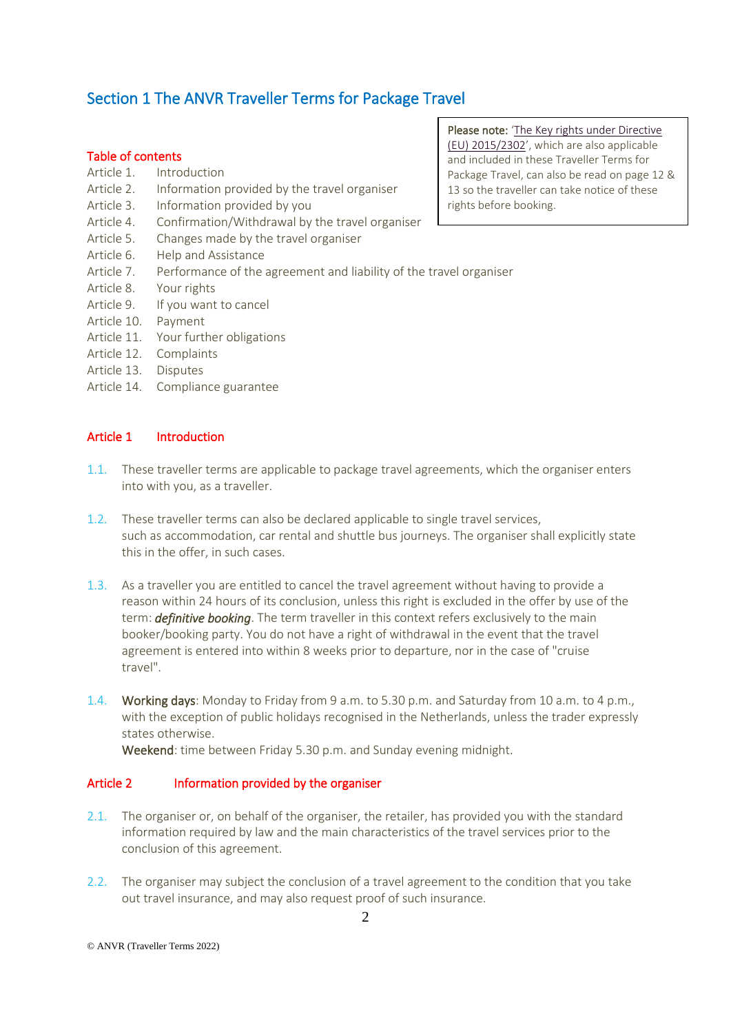# Section 1 The ANVR Traveller Terms for Package Travel

### Table of contents

- Article 1. Introduction
- Article 2. Information provided by the travel organiser
- Article 3. Information provided by you
- Article 4. Confirmation/Withdrawal by the travel organiser
- Article 5. Changes made by the travel organiser
- Article 6. Help and Assistance
- Article 7. Performance of the agreement and liability of the travel organiser
- Article 8. Your rights
- Article 9. If you want to cancel
- Article 10. Payment
- Article 11. Your further obligations
- Article 12. Complaints
- Article 13. Disputes
- Article 14. Compliance guarantee

## Article 1 Introduction

- 1.1. These traveller terms are applicable to package travel agreements, which the organiser enters into with you, as a traveller.
- 1.2. These traveller terms can also be declared applicable to single travel services, such as accommodation, car rental and shuttle bus journeys. The organiser shall explicitly state this in the offer, in such cases.
- 1.3. As a traveller you are entitled to cancel the travel agreement without having to provide a reason within 24 hours of its conclusion, unless this right is excluded in the offer by use of the term: *definitive booking*. The term traveller in this context refers exclusively to the main booker/booking party. You do not have a right of withdrawal in the event that the travel agreement is entered into within 8 weeks prior to departure, nor in the case of "cruise travel".
- 1.4. Working days: Monday to Friday from 9 a.m. to 5.30 p.m. and Saturday from 10 a.m. to 4 p.m., with the exception of public holidays recognised in the Netherlands, unless the trader expressly states otherwise.

Weekend: time between Friday 5.30 p.m. and Sunday evening midnight.

### Article 2 Information provided by the organiser

- 2.1. The organiser or, on behalf of the organiser, the retailer, has provided you with the standard information required by law and the main characteristics of the travel services prior to the conclusion of this agreement.
- 2.2. The organiser may subject the conclusion of a travel agreement to the condition that you take out travel insurance, and may also request proof of such insurance.

Please note: 'The Key rights [under Directive](https://www.anvr.nl/DownloadItem/Key_Rights_Package_Travel.pdf) (EU) [2015/2302](https://www.anvr.nl/DownloadItem/Key_Rights_Package_Travel.pdf)', which are also applicable and included in these Traveller Terms for Package Travel, can also be read on page 12 & 13 so the traveller can take notice of these rights before booking.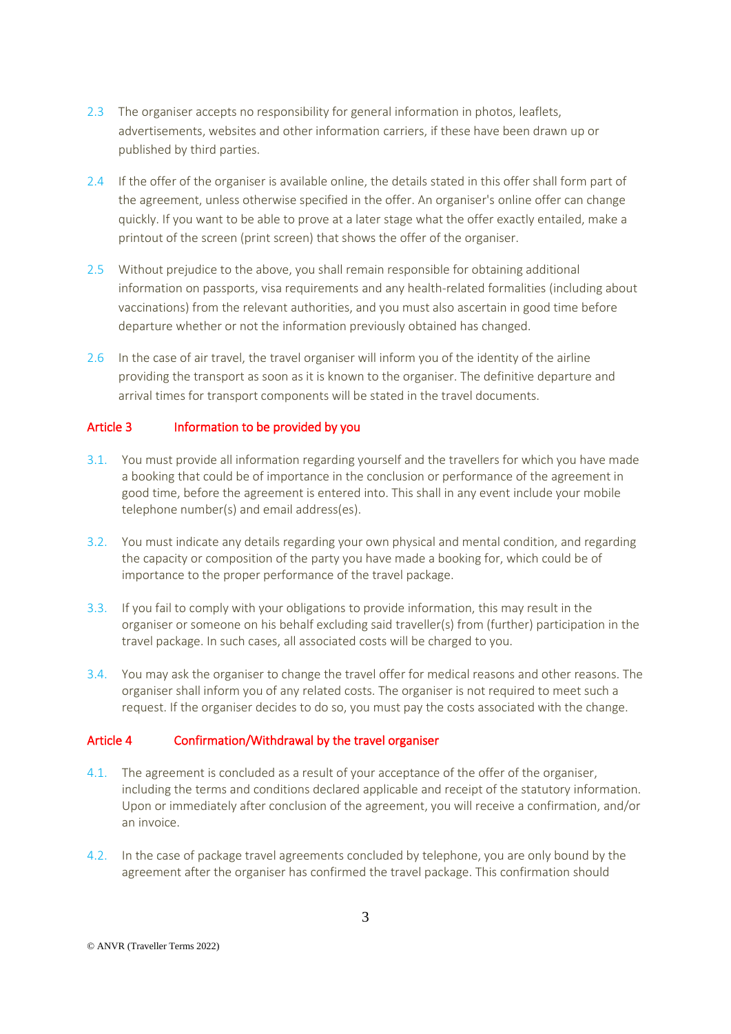- 2.3 The organiser accepts no responsibility for general information in photos, leaflets, advertisements, websites and other information carriers, if these have been drawn up or published by third parties.
- 2.4 If the offer of the organiser is available online, the details stated in this offer shall form part of the agreement, unless otherwise specified in the offer. An organiser's online offer can change quickly. If you want to be able to prove at a later stage what the offer exactly entailed, make a printout of the screen (print screen) that shows the offer of the organiser.
- 2.5 Without prejudice to the above, you shall remain responsible for obtaining additional information on passports, visa requirements and any health-related formalities (including about vaccinations) from the relevant authorities, and you must also ascertain in good time before departure whether or not the information previously obtained has changed.
- 2.6 In the case of air travel, the travel organiser will inform you of the identity of the airline providing the transport as soon as it is known to the organiser. The definitive departure and arrival times for transport components will be stated in the travel documents.

## Article 3 Information to be provided by you

- 3.1. You must provide all information regarding yourself and the travellers for which you have made a booking that could be of importance in the conclusion or performance of the agreement in good time, before the agreement is entered into. This shall in any event include your mobile telephone number(s) and email address(es).
- 3.2. You must indicate any details regarding your own physical and mental condition, and regarding the capacity or composition of the party you have made a booking for, which could be of importance to the proper performance of the travel package.
- 3.3. If you fail to comply with your obligations to provide information, this may result in the organiser or someone on his behalf excluding said traveller(s) from (further) participation in the travel package. In such cases, all associated costs will be charged to you.
- 3.4. You may ask the organiser to change the travel offer for medical reasons and other reasons. The organiser shall inform you of any related costs. The organiser is not required to meet such a request. If the organiser decides to do so, you must pay the costs associated with the change.

### Article 4 Confirmation/Withdrawal by the travel organiser

- 4.1. The agreement is concluded as a result of your acceptance of the offer of the organiser, including the terms and conditions declared applicable and receipt of the statutory information. Upon or immediately after conclusion of the agreement, you will receive a confirmation, and/or an invoice.
- 4.2. In the case of package travel agreements concluded by telephone, you are only bound by the agreement after the organiser has confirmed the travel package. This confirmation should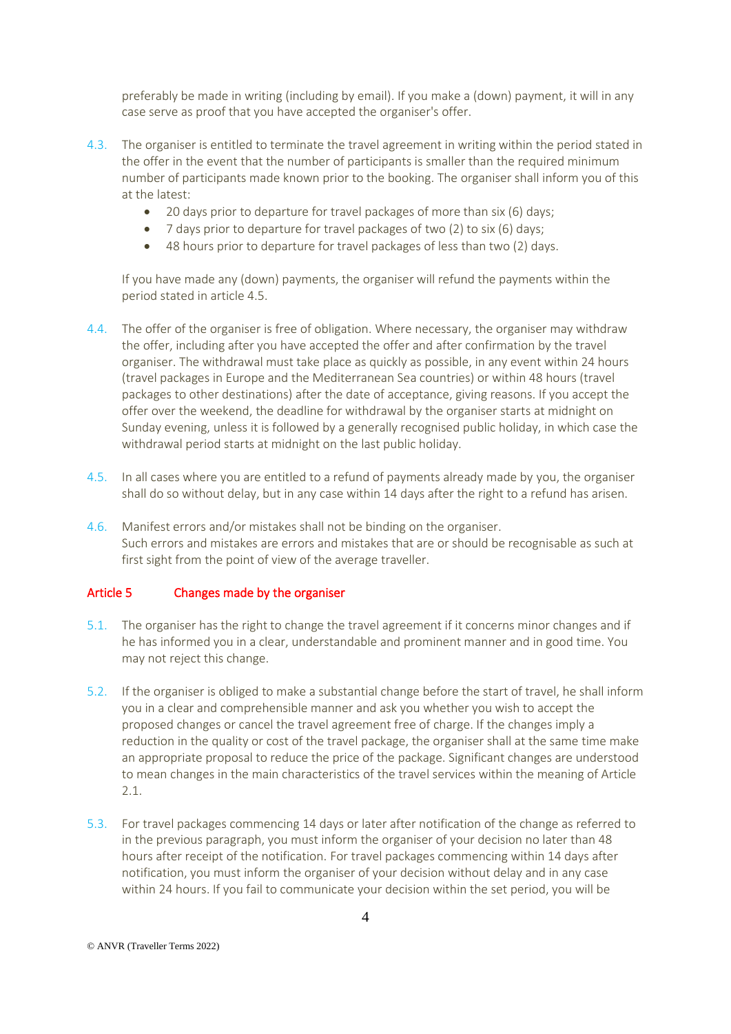preferably be made in writing (including by email). If you make a (down) payment, it will in any case serve as proof that you have accepted the organiser's offer.

- 4.3. The organiser is entitled to terminate the travel agreement in writing within the period stated in the offer in the event that the number of participants is smaller than the required minimum number of participants made known prior to the booking. The organiser shall inform you of this at the latest:
	- 20 days prior to departure for travel packages of more than six (6) days;
	- 7 days prior to departure for travel packages of two (2) to six (6) days;
	- 48 hours prior to departure for travel packages of less than two (2) days.

If you have made any (down) payments, the organiser will refund the payments within the period stated in article 4.5.

- 4.4. The offer of the organiser is free of obligation. Where necessary, the organiser may withdraw the offer, including after you have accepted the offer and after confirmation by the travel organiser. The withdrawal must take place as quickly as possible, in any event within 24 hours (travel packages in Europe and the Mediterranean Sea countries) or within 48 hours (travel packages to other destinations) after the date of acceptance, giving reasons. If you accept the offer over the weekend, the deadline for withdrawal by the organiser starts at midnight on Sunday evening, unless it is followed by a generally recognised public holiday, in which case the withdrawal period starts at midnight on the last public holiday.
- 4.5. In all cases where you are entitled to a refund of payments already made by you, the organiser shall do so without delay, but in any case within 14 days after the right to a refund has arisen.
- 4.6. Manifest errors and/or mistakes shall not be binding on the organiser. Such errors and mistakes are errors and mistakes that are or should be recognisable as such at first sight from the point of view of the average traveller.

### Article 5 Changes made by the organiser

- 5.1. The organiser has the right to change the travel agreement if it concerns minor changes and if he has informed you in a clear, understandable and prominent manner and in good time. You may not reject this change.
- 5.2. If the organiser is obliged to make a substantial change before the start of travel, he shall inform you in a clear and comprehensible manner and ask you whether you wish to accept the proposed changes or cancel the travel agreement free of charge. If the changes imply a reduction in the quality or cost of the travel package, the organiser shall at the same time make an appropriate proposal to reduce the price of the package. Significant changes are understood to mean changes in the main characteristics of the travel services within the meaning of Article 2.1.
- 5.3. For travel packages commencing 14 days or later after notification of the change as referred to in the previous paragraph, you must inform the organiser of your decision no later than 48 hours after receipt of the notification. For travel packages commencing within 14 days after notification, you must inform the organiser of your decision without delay and in any case within 24 hours. If you fail to communicate your decision within the set period, you will be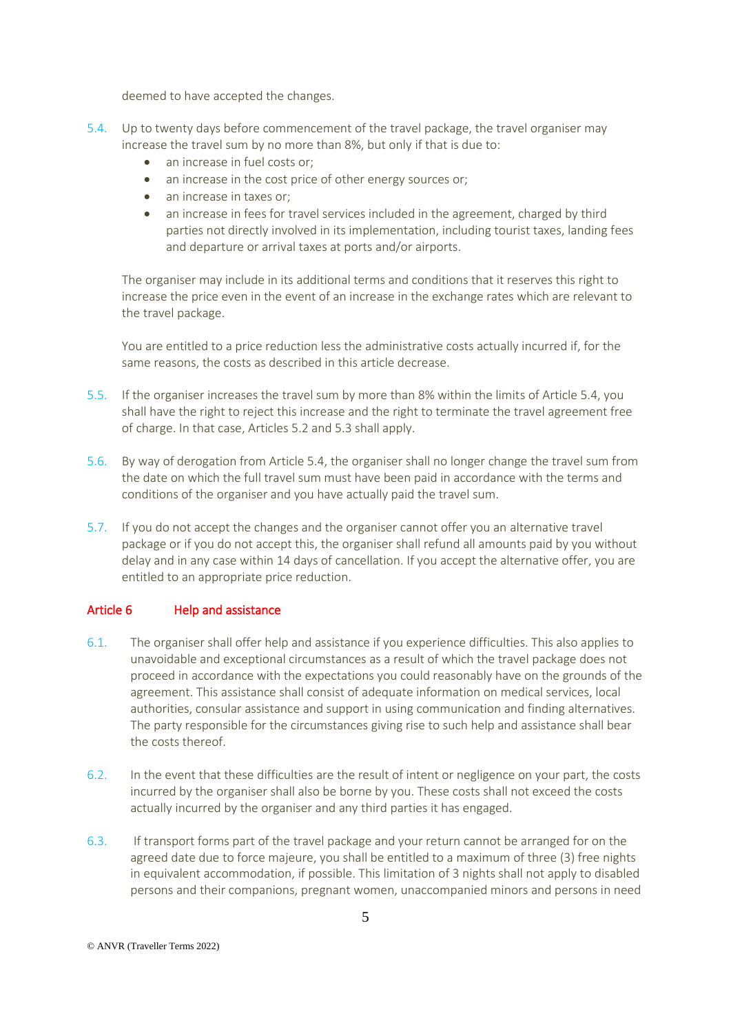deemed to have accepted the changes.

- 5.4. Up to twenty days before commencement of the travel package, the travel organiser may increase the travel sum by no more than 8%, but only if that is due to:
	- an increase in fuel costs or;
	- an increase in the cost price of other energy sources or;
	- an increase in taxes or:
	- an increase in fees for travel services included in the agreement, charged by third parties not directly involved in its implementation, including tourist taxes, landing fees and departure or arrival taxes at ports and/or airports.

The organiser may include in its additional terms and conditions that it reserves this right to increase the price even in the event of an increase in the exchange rates which are relevant to the travel package.

You are entitled to a price reduction less the administrative costs actually incurred if, for the same reasons, the costs as described in this article decrease.

- 5.5. If the organiser increases the travel sum by more than 8% within the limits of Article 5.4, you shall have the right to reject this increase and the right to terminate the travel agreement free of charge. In that case, Articles 5.2 and 5.3 shall apply.
- 5.6. By way of derogation from Article 5.4, the organiser shall no longer change the travel sum from the date on which the full travel sum must have been paid in accordance with the terms and conditions of the organiser and you have actually paid the travel sum.
- 5.7. If you do not accept the changes and the organiser cannot offer you an alternative travel package or if you do not accept this, the organiser shall refund all amounts paid by you without delay and in any case within 14 days of cancellation. If you accept the alternative offer, you are entitled to an appropriate price reduction.

## Article 6 Help and assistance

- 6.1. The organiser shall offer help and assistance if you experience difficulties. This also applies to unavoidable and exceptional circumstances as a result of which the travel package does not proceed in accordance with the expectations you could reasonably have on the grounds of the agreement. This assistance shall consist of adequate information on medical services, local authorities, consular assistance and support in using communication and finding alternatives. The party responsible for the circumstances giving rise to such help and assistance shall bear the costs thereof.
- 6.2. In the event that these difficulties are the result of intent or negligence on your part, the costs incurred by the organiser shall also be borne by you. These costs shall not exceed the costs actually incurred by the organiser and any third parties it has engaged.
- 6.3. If transport forms part of the travel package and your return cannot be arranged for on the agreed date due to force majeure, you shall be entitled to a maximum of three (3) free nights in equivalent accommodation, if possible. This limitation of 3 nights shall not apply to disabled persons and their companions, pregnant women, unaccompanied minors and persons in need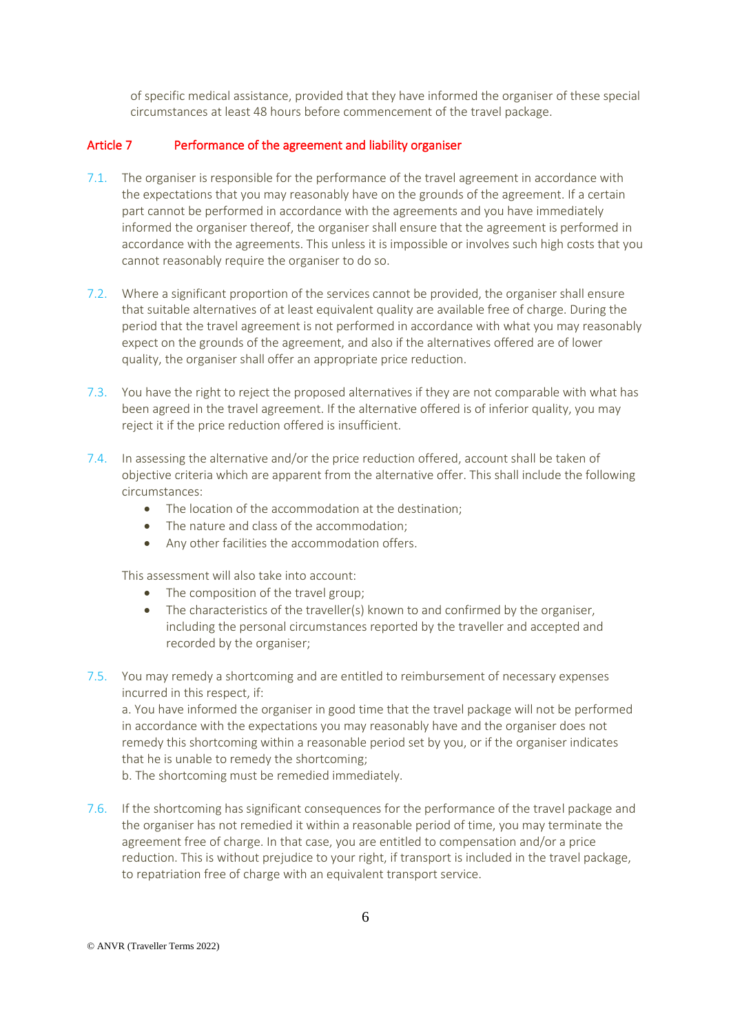of specific medical assistance, provided that they have informed the organiser of these special circumstances at least 48 hours before commencement of the travel package.

### Article 7 Performance of the agreement and liability organiser

- 7.1. The organiser is responsible for the performance of the travel agreement in accordance with the expectations that you may reasonably have on the grounds of the agreement. If a certain part cannot be performed in accordance with the agreements and you have immediately informed the organiser thereof, the organiser shall ensure that the agreement is performed in accordance with the agreements. This unless it is impossible or involves such high costs that you cannot reasonably require the organiser to do so.
- 7.2. Where a significant proportion of the services cannot be provided, the organiser shall ensure that suitable alternatives of at least equivalent quality are available free of charge. During the period that the travel agreement is not performed in accordance with what you may reasonably expect on the grounds of the agreement, and also if the alternatives offered are of lower quality, the organiser shall offer an appropriate price reduction.
- 7.3. You have the right to reject the proposed alternatives if they are not comparable with what has been agreed in the travel agreement. If the alternative offered is of inferior quality, you may reject it if the price reduction offered is insufficient.
- 7.4. In assessing the alternative and/or the price reduction offered, account shall be taken of objective criteria which are apparent from the alternative offer. This shall include the following circumstances:
	- The location of the accommodation at the destination;
	- The nature and class of the accommodation;
	- Any other facilities the accommodation offers.

This assessment will also take into account:

- The composition of the travel group;
- The characteristics of the traveller(s) known to and confirmed by the organiser, including the personal circumstances reported by the traveller and accepted and recorded by the organiser;
- 7.5. You may remedy a shortcoming and are entitled to reimbursement of necessary expenses incurred in this respect, if:

a. You have informed the organiser in good time that the travel package will not be performed in accordance with the expectations you may reasonably have and the organiser does not remedy this shortcoming within a reasonable period set by you, or if the organiser indicates that he is unable to remedy the shortcoming;

b. The shortcoming must be remedied immediately.

7.6. If the shortcoming has significant consequences for the performance of the travel package and the organiser has not remedied it within a reasonable period of time, you may terminate the agreement free of charge. In that case, you are entitled to compensation and/or a price reduction. This is without prejudice to your right, if transport is included in the travel package, to repatriation free of charge with an equivalent transport service.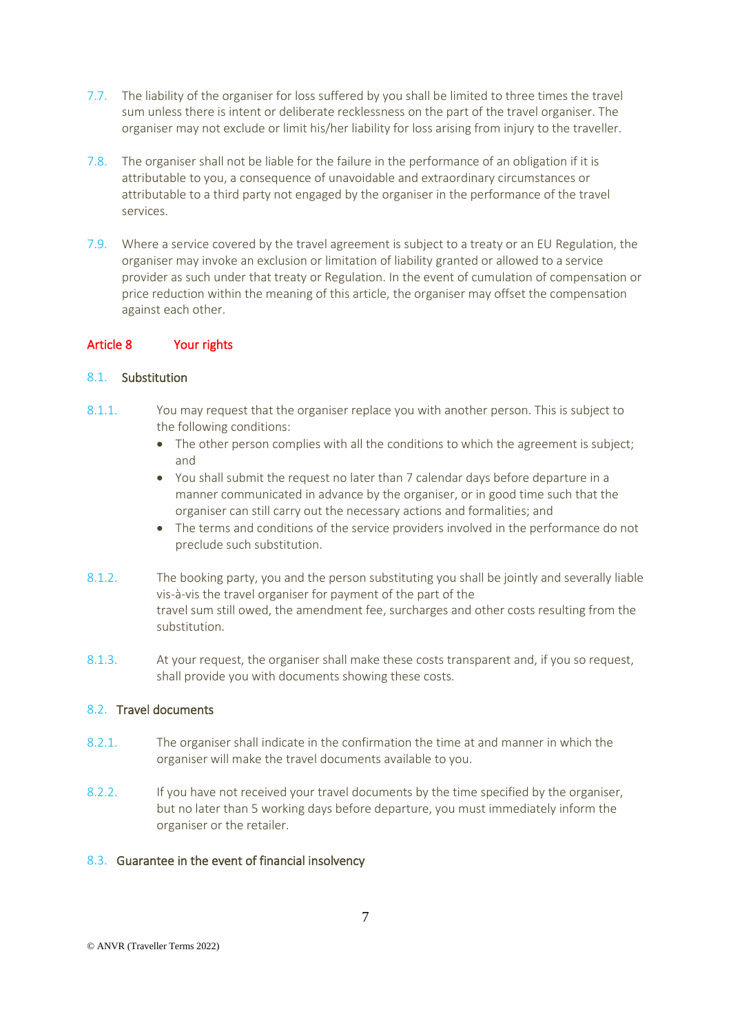- 7.7. The liability of the organiser for loss suffered by you shall be limited to three times the travel sum unless there is intent or deliberate recklessness on the part of the travel organiser. The organiser may not exclude or limit his/her liability for loss arising from injury to the traveller.
- 7.8. The organiser shall not be liable for the failure in the performance of an obligation if it is attributable to you, a consequence of unavoidable and extraordinary circumstances or attributable to a third party not engaged by the organiser in the performance of the travel services.
- 7.9. Where a service covered by the travel agreement is subject to a treaty or an EU Regulation, the organiser may invoke an exclusion or limitation of liability granted or allowed to a service provider as such under that treaty or Regulation. In the event of cumulation of compensation or price reduction within the meaning of this article, the organiser may offset the compensation against each other.

### Article 8 Your rights

### 8.1. Substitution

- 8.1.1. You may request that the organiser replace you with another person. This is subject to the following conditions:
	- The other person complies with all the conditions to which the agreement is subject; and
	- You shall submit the request no later than 7 calendar days before departure in a manner communicated in advance by the organiser, or in good time such that the organiser can still carry out the necessary actions and formalities; and
	- The terms and conditions of the service providers involved in the performance do not preclude such substitution.
- 8.1.2. The booking party, you and the person substituting you shall be jointly and severally liable vis-à-vis the travel organiser for payment of the part of the travel sum still owed, the amendment fee, surcharges and other costs resulting from the substitution.
- 8.1.3. At your request, the organiser shall make these costs transparent and, if you so request, shall provide you with documents showing these costs.

## 8.2. Travel documents

- 8.2.1. The organiser shall indicate in the confirmation the time at and manner in which the organiser will make the travel documents available to you.
- 8.2.2. If you have not received your travel documents by the time specified by the organiser, but no later than 5 working days before departure, you must immediately inform the organiser or the retailer.

### 8.3. Guarantee in the event of financial insolvency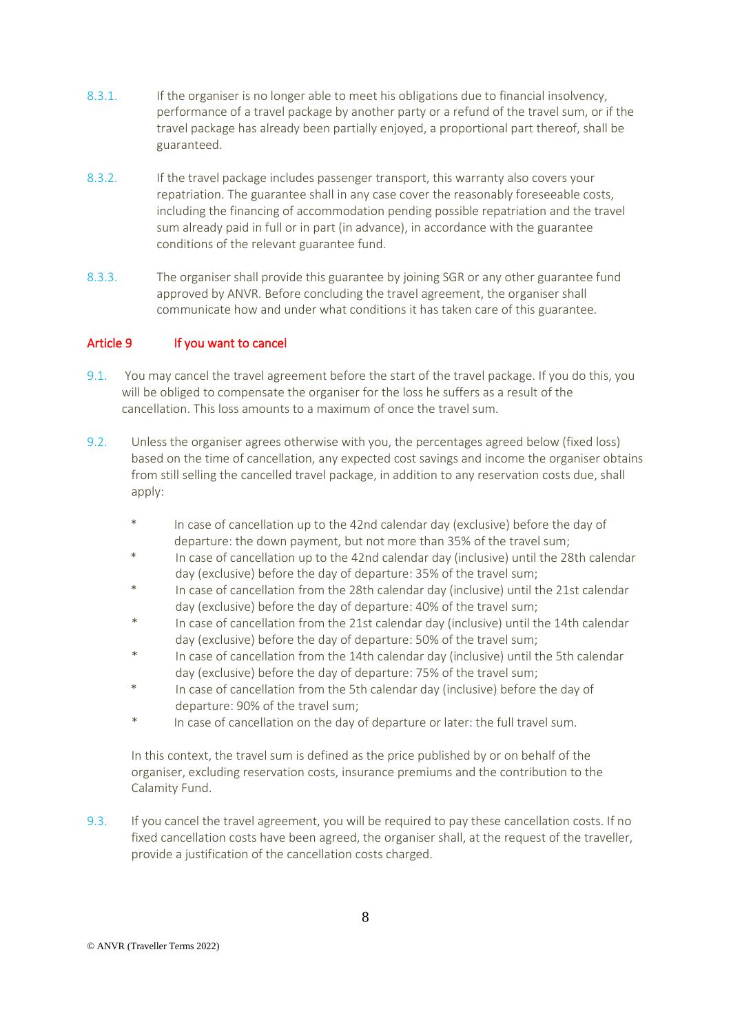- 8.3.1. If the organiser is no longer able to meet his obligations due to financial insolvency, performance of a travel package by another party or a refund of the travel sum, or if the travel package has already been partially enjoyed, a proportional part thereof, shall be guaranteed.
- 8.3.2. If the travel package includes passenger transport, this warranty also covers your repatriation. The guarantee shall in any case cover the reasonably foreseeable costs, including the financing of accommodation pending possible repatriation and the travel sum already paid in full or in part (in advance), in accordance with the guarantee conditions of the relevant guarantee fund.
- 8.3.3. The organiser shall provide this guarantee by joining SGR or any other guarantee fund approved by ANVR. Before concluding the travel agreement, the organiser shall communicate how and under what conditions it has taken care of this guarantee.

## Article 9 If you want to cancel

- 9.1. You may cancel the travel agreement before the start of the travel package. If you do this, you will be obliged to compensate the organiser for the loss he suffers as a result of the cancellation. This loss amounts to a maximum of once the travel sum.
- 9.2. Unless the organiser agrees otherwise with you, the percentages agreed below (fixed loss) based on the time of cancellation, any expected cost savings and income the organiser obtains from still selling the cancelled travel package, in addition to any reservation costs due, shall apply:
	- \* In case of cancellation up to the 42nd calendar day (exclusive) before the day of departure: the down payment, but not more than 35% of the travel sum;
	- In case of cancellation up to the 42nd calendar day (inclusive) until the 28th calendar day (exclusive) before the day of departure: 35% of the travel sum;
	- \* In case of cancellation from the 28th calendar day (inclusive) until the 21st calendar day (exclusive) before the day of departure: 40% of the travel sum;
	- In case of cancellation from the 21st calendar day (inclusive) until the 14th calendar day (exclusive) before the day of departure: 50% of the travel sum;
	- In case of cancellation from the 14th calendar day (inclusive) until the 5th calendar day (exclusive) before the day of departure: 75% of the travel sum;
	- In case of cancellation from the 5th calendar day (inclusive) before the day of departure: 90% of the travel sum;
	- In case of cancellation on the day of departure or later: the full travel sum.

In this context, the travel sum is defined as the price published by or on behalf of the organiser, excluding reservation costs, insurance premiums and the contribution to the Calamity Fund.

9.3. If you cancel the travel agreement, you will be required to pay these cancellation costs. If no fixed cancellation costs have been agreed, the organiser shall, at the request of the traveller, provide a justification of the cancellation costs charged.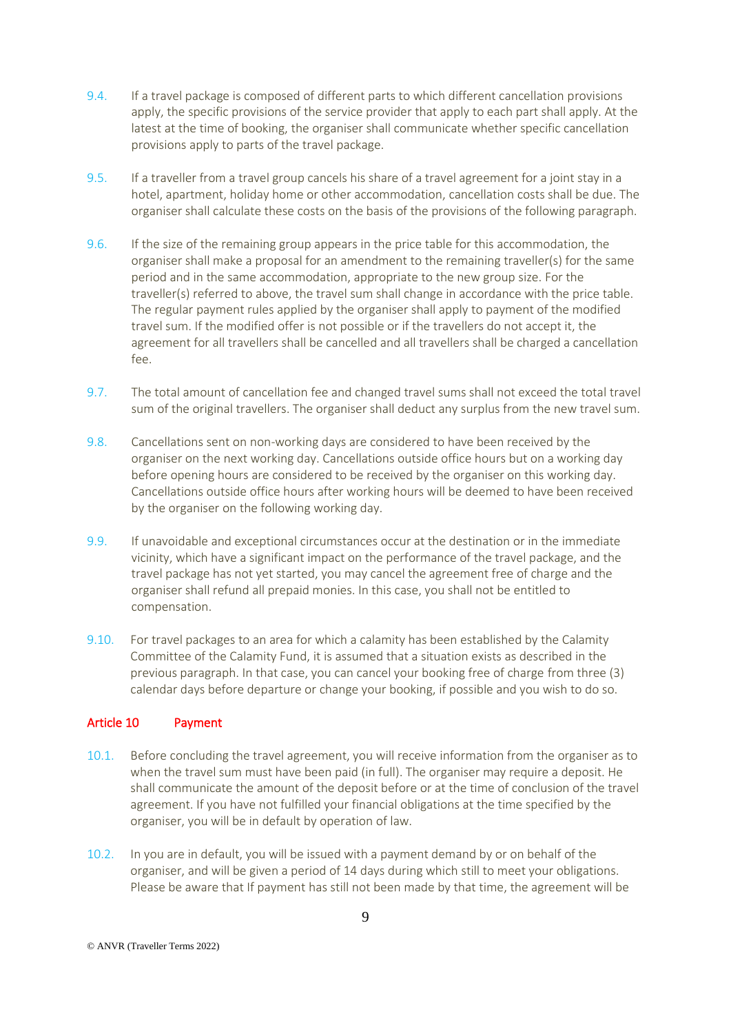- 9.4. If a travel package is composed of different parts to which different cancellation provisions apply, the specific provisions of the service provider that apply to each part shall apply. At the latest at the time of booking, the organiser shall communicate whether specific cancellation provisions apply to parts of the travel package.
- 9.5. If a traveller from a travel group cancels his share of a travel agreement for a joint stay in a hotel, apartment, holiday home or other accommodation, cancellation costs shall be due. The organiser shall calculate these costs on the basis of the provisions of the following paragraph.
- 9.6. If the size of the remaining group appears in the price table for this accommodation, the organiser shall make a proposal for an amendment to the remaining traveller(s) for the same period and in the same accommodation, appropriate to the new group size. For the traveller(s) referred to above, the travel sum shall change in accordance with the price table. The regular payment rules applied by the organiser shall apply to payment of the modified travel sum. If the modified offer is not possible or if the travellers do not accept it, the agreement for all travellers shall be cancelled and all travellers shall be charged a cancellation fee.
- 9.7. The total amount of cancellation fee and changed travel sums shall not exceed the total travel sum of the original travellers. The organiser shall deduct any surplus from the new travel sum.
- 9.8. Cancellations sent on non-working days are considered to have been received by the organiser on the next working day. Cancellations outside office hours but on a working day before opening hours are considered to be received by the organiser on this working day. Cancellations outside office hours after working hours will be deemed to have been received by the organiser on the following working day.
- 9.9. If unavoidable and exceptional circumstances occur at the destination or in the immediate vicinity, which have a significant impact on the performance of the travel package, and the travel package has not yet started, you may cancel the agreement free of charge and the organiser shall refund all prepaid monies. In this case, you shall not be entitled to compensation.
- 9.10. For travel packages to an area for which a calamity has been established by the Calamity Committee of the Calamity Fund, it is assumed that a situation exists as described in the previous paragraph. In that case, you can cancel your booking free of charge from three (3) calendar days before departure or change your booking, if possible and you wish to do so.

## Article 10 Payment

- 10.1. Before concluding the travel agreement, you will receive information from the organiser as to when the travel sum must have been paid (in full). The organiser may require a deposit. He shall communicate the amount of the deposit before or at the time of conclusion of the travel agreement. If you have not fulfilled your financial obligations at the time specified by the organiser, you will be in default by operation of law.
- 10.2. In you are in default, you will be issued with a payment demand by or on behalf of the organiser, and will be given a period of 14 days during which still to meet your obligations. Please be aware that If payment has still not been made by that time, the agreement will be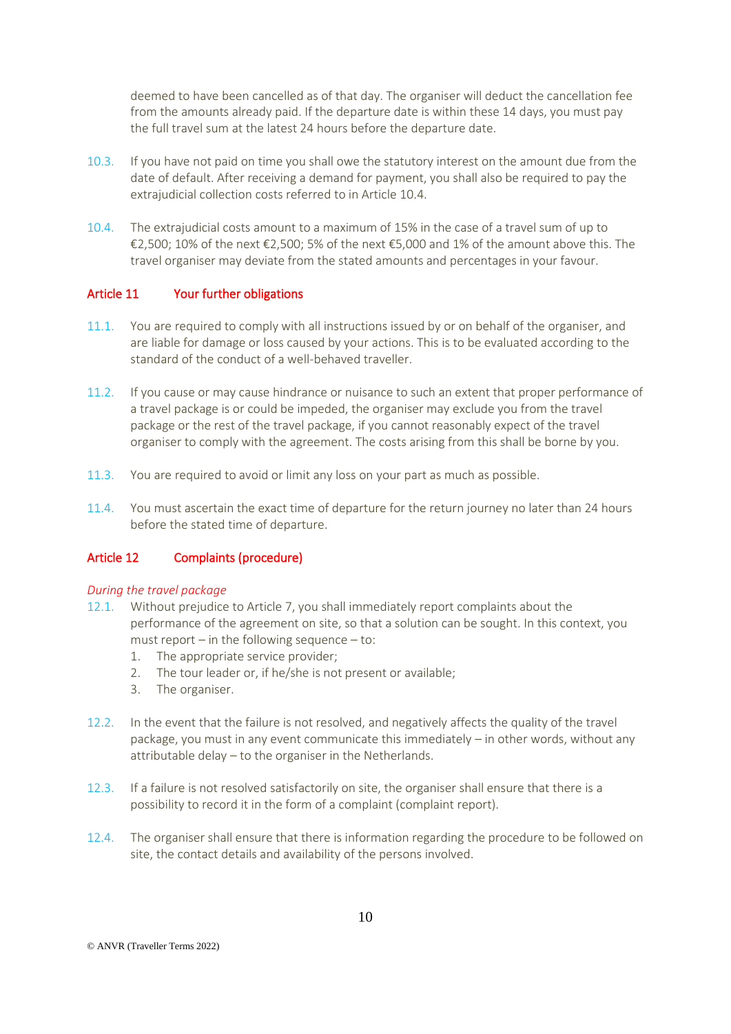deemed to have been cancelled as of that day. The organiser will deduct the cancellation fee from the amounts already paid. If the departure date is within these 14 days, you must pay the full travel sum at the latest 24 hours before the departure date.

- 10.3. If you have not paid on time you shall owe the statutory interest on the amount due from the date of default. After receiving a demand for payment, you shall also be required to pay the extrajudicial collection costs referred to in Article 10.4.
- 10.4. The extrajudicial costs amount to a maximum of 15% in the case of a travel sum of up to €2,500; 10% of the next €2,500; 5% of the next €5,000 and 1% of the amount above this. The travel organiser may deviate from the stated amounts and percentages in your favour.

### Article 11 Your further obligations

- 11.1. You are required to comply with all instructions issued by or on behalf of the organiser, and are liable for damage or loss caused by your actions. This is to be evaluated according to the standard of the conduct of a well-behaved traveller.
- 11.2. If you cause or may cause hindrance or nuisance to such an extent that proper performance of a travel package is or could be impeded, the organiser may exclude you from the travel package or the rest of the travel package, if you cannot reasonably expect of the travel organiser to comply with the agreement. The costs arising from this shall be borne by you.
- 11.3. You are required to avoid or limit any loss on your part as much as possible.
- 11.4. You must ascertain the exact time of departure for the return journey no later than 24 hours before the stated time of departure.

## Article 12 Complaints (procedure)

### *During the travel package*

- 12.1. Without prejudice to Article 7, you shall immediately report complaints about the performance of the agreement on site, so that a solution can be sought. In this context, you must report – in the following sequence – to:
	- 1. The appropriate service provider;
	- 2. The tour leader or, if he/she is not present or available;
	- 3. The organiser.
- 12.2. In the event that the failure is not resolved, and negatively affects the quality of the travel package, you must in any event communicate this immediately – in other words, without any attributable delay – to the organiser in the Netherlands.
- 12.3. If a failure is not resolved satisfactorily on site, the organiser shall ensure that there is a possibility to record it in the form of a complaint (complaint report).
- 12.4. The organiser shall ensure that there is information regarding the procedure to be followed on site, the contact details and availability of the persons involved.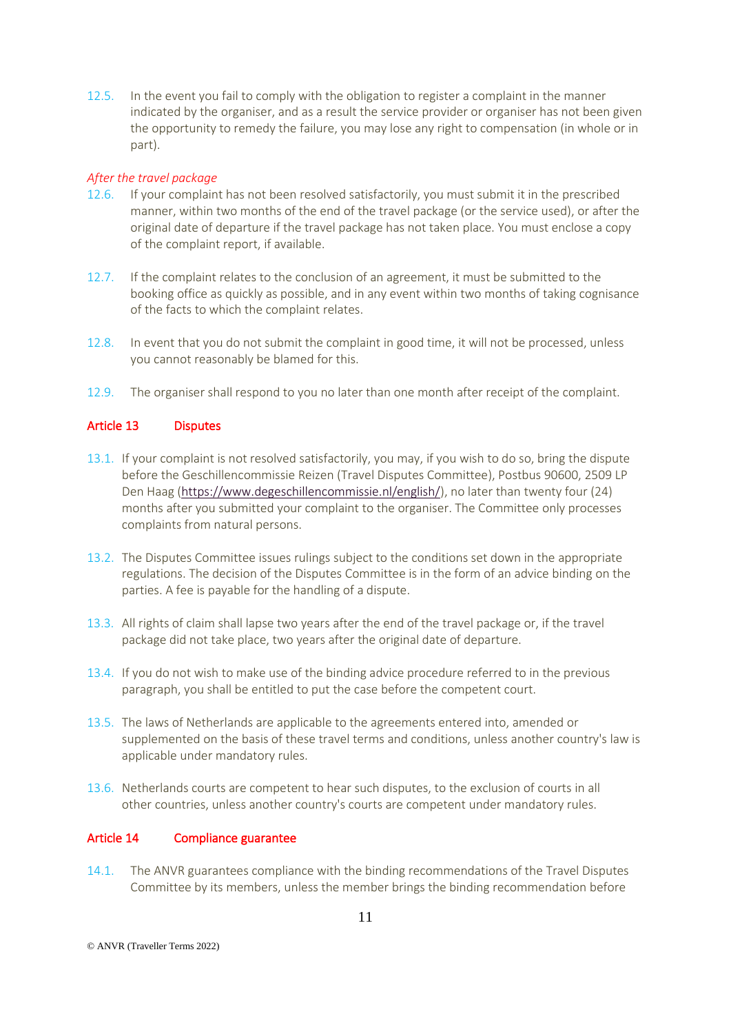12.5. In the event you fail to comply with the obligation to register a complaint in the manner indicated by the organiser, and as a result the service provider or organiser has not been given the opportunity to remedy the failure, you may lose any right to compensation (in whole or in part).

### *After the travel package*

- 12.6. If your complaint has not been resolved satisfactorily, you must submit it in the prescribed manner, within two months of the end of the travel package (or the service used), or after the original date of departure if the travel package has not taken place. You must enclose a copy of the complaint report, if available.
- 12.7. If the complaint relates to the conclusion of an agreement, it must be submitted to the booking office as quickly as possible, and in any event within two months of taking cognisance of the facts to which the complaint relates.
- 12.8. In event that you do not submit the complaint in good time, it will not be processed, unless you cannot reasonably be blamed for this.
- 12.9. The organiser shall respond to you no later than one month after receipt of the complaint.

### Article 13 Disputes

- 13.1. If your complaint is not resolved satisfactorily, you may, if you wish to do so, bring the dispute before the Geschillencommissie Reizen (Travel Disputes Committee), Postbus 90600, 2509 LP Den Haag [\(https://www.degeschillencommissie.nl/english/\)](https://www.degeschillencommissie.nl/english/), no later than twenty four (24) months after you submitted your complaint to the organiser. The Committee only processes complaints from natural persons.
- 13.2. The Disputes Committee issues rulings subject to the conditions set down in the appropriate regulations. The decision of the Disputes Committee is in the form of an advice binding on the parties. A fee is payable for the handling of a dispute.
- 13.3. All rights of claim shall lapse two years after the end of the travel package or, if the travel package did not take place, two years after the original date of departure.
- 13.4. If you do not wish to make use of the binding advice procedure referred to in the previous paragraph, you shall be entitled to put the case before the competent court.
- 13.5. The laws of Netherlands are applicable to the agreements entered into, amended or supplemented on the basis of these travel terms and conditions, unless another country's law is applicable under mandatory rules.
- 13.6. Netherlands courts are competent to hear such disputes, to the exclusion of courts in all other countries, unless another country's courts are competent under mandatory rules.

## Article 14 Compliance guarantee

14.1. The ANVR guarantees compliance with the binding recommendations of the Travel Disputes Committee by its members, unless the member brings the binding recommendation before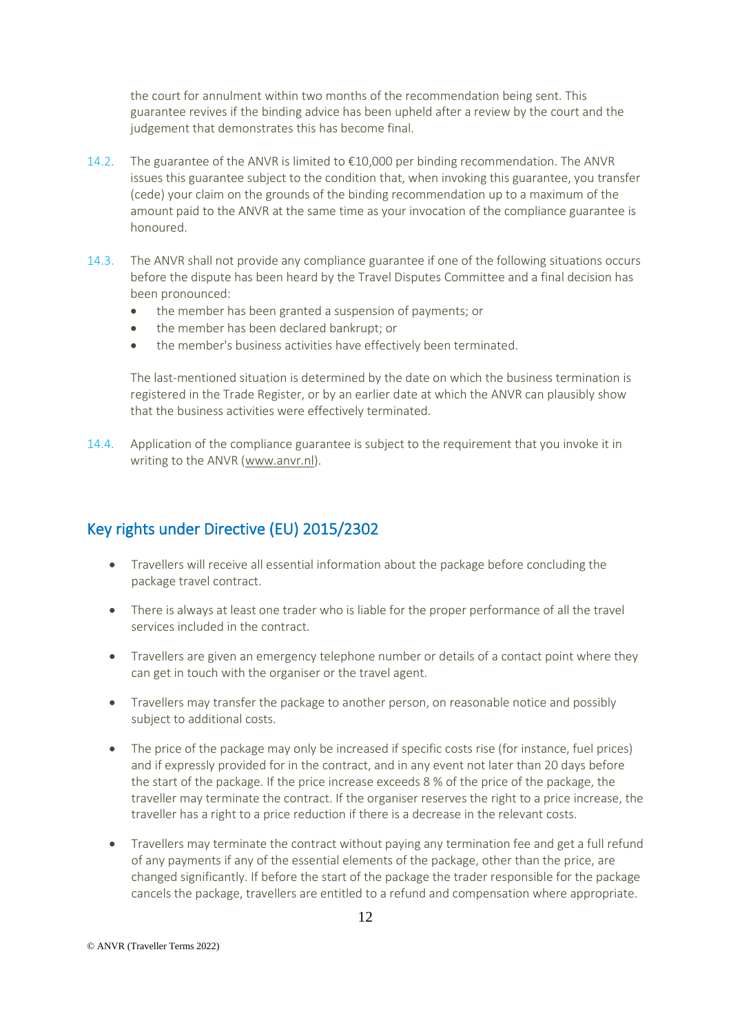the court for annulment within two months of the recommendation being sent. This guarantee revives if the binding advice has been upheld after a review by the court and the judgement that demonstrates this has become final.

- 14.2. The guarantee of the ANVR is limited to €10,000 per binding recommendation. The ANVR issues this guarantee subject to the condition that, when invoking this guarantee, you transfer (cede) your claim on the grounds of the binding recommendation up to a maximum of the amount paid to the ANVR at the same time as your invocation of the compliance guarantee is honoured.
- 14.3. The ANVR shall not provide any compliance guarantee if one of the following situations occurs before the dispute has been heard by the Travel Disputes Committee and a final decision has been pronounced:
	- the member has been granted a suspension of payments; or
	- the member has been declared bankrupt; or
	- the member's business activities have effectively been terminated.

The last-mentioned situation is determined by the date on which the business termination is registered in the Trade Register, or by an earlier date at which the ANVR can plausibly show that the business activities were effectively terminated.

14.4. Application of the compliance guarantee is subject to the requirement that you invoke it in writing to the ANVR [\(www.anvr.nl\)](http://www.anvr.nl/).

## Key rights under Directive (EU) 2015/2302

- Travellers will receive all essential information about the package before concluding the package travel contract.
- There is always at least one trader who is liable for the proper performance of all the travel services included in the contract.
- Travellers are given an emergency telephone number or details of a contact point where they can get in touch with the organiser or the travel agent.
- Travellers may transfer the package to another person, on reasonable notice and possibly subject to additional costs.
- The price of the package may only be increased if specific costs rise (for instance, fuel prices) and if expressly provided for in the contract, and in any event not later than 20 days before the start of the package. If the price increase exceeds 8 % of the price of the package, the traveller may terminate the contract. If the organiser reserves the right to a price increase, the traveller has a right to a price reduction if there is a decrease in the relevant costs.
- Travellers may terminate the contract without paying any termination fee and get a full refund of any payments if any of the essential elements of the package, other than the price, are changed significantly. If before the start of the package the trader responsible for the package cancels the package, travellers are entitled to a refund and compensation where appropriate.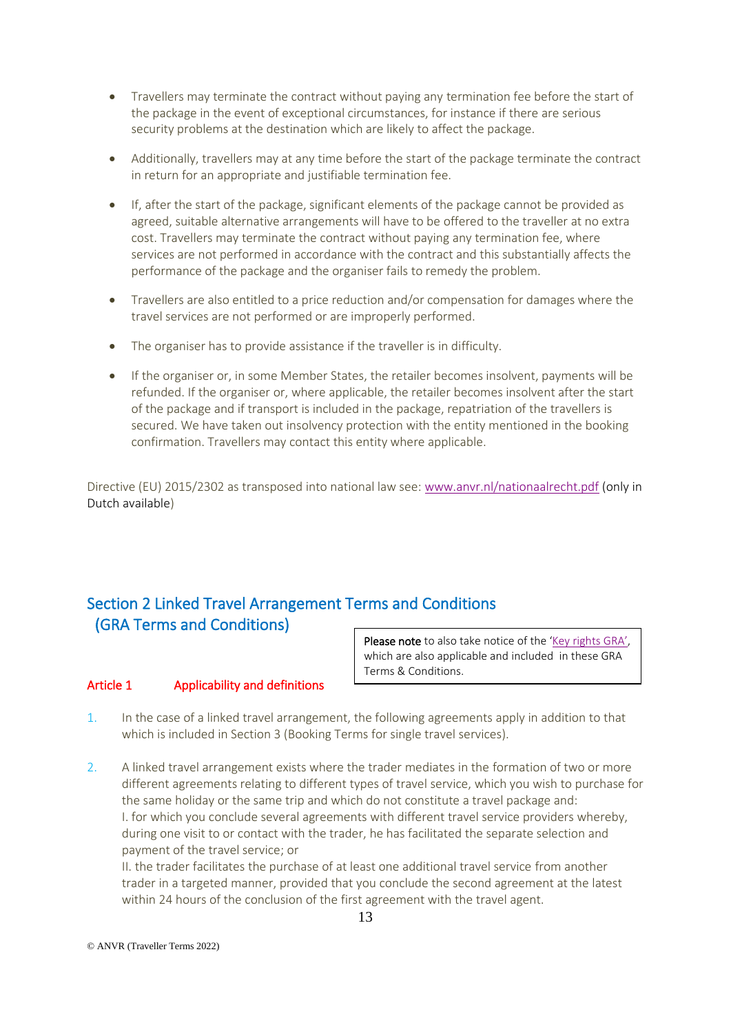- Travellers may terminate the contract without paying any termination fee before the start of the package in the event of exceptional circumstances, for instance if there are serious security problems at the destination which are likely to affect the package.
- Additionally, travellers may at any time before the start of the package terminate the contract in return for an appropriate and justifiable termination fee.
- If, after the start of the package, significant elements of the package cannot be provided as agreed, suitable alternative arrangements will have to be offered to the traveller at no extra cost. Travellers may terminate the contract without paying any termination fee, where services are not performed in accordance with the contract and this substantially affects the performance of the package and the organiser fails to remedy the problem.
- Travellers are also entitled to a price reduction and/or compensation for damages where the travel services are not performed or are improperly performed.
- The organiser has to provide assistance if the traveller is in difficulty.
- If the organiser or, in some Member States, the retailer becomes insolvent, payments will be refunded. If the organiser or, where applicable, the retailer becomes insolvent after the start of the package and if transport is included in the package, repatriation of the travellers is secured. We have taken out insolvency protection with the entity mentioned in the booking confirmation. Travellers may contact this entity where applicable.

Directive (EU) 2015/2302 as transposed into national law see: [www.anvr.nl/nationaalrecht.pdf](http://www.anvr.nl/nationaalrecht.pdf) (only in Dutch available)

# Section 2 Linked Travel Arrangement Terms and Conditions (GRA Terms and Conditions)

## Article 1 Applicability and definitions

Please note to also take notice of the '[Key rights](https://www.anvr.nl/DownloadItem/Keyrights_Linked_Travel_Arrangements.pdf) GRA', which are also applicable and included in these GRA Terms & Conditions.

- 1. In the case of a linked travel arrangement, the following agreements apply in addition to that which is included in Section 3 (Booking Terms for single travel services).
- 2. A linked travel arrangement exists where the trader mediates in the formation of two or more different agreements relating to different types of travel service, which you wish to purchase for the same holiday or the same trip and which do not constitute a travel package and: I. for which you conclude several agreements with different travel service providers whereby, during one visit to or contact with the trader, he has facilitated the separate selection and payment of the travel service; or

II. the trader facilitates the purchase of at least one additional travel service from another trader in a targeted manner, provided that you conclude the second agreement at the latest within 24 hours of the conclusion of the first agreement with the travel agent.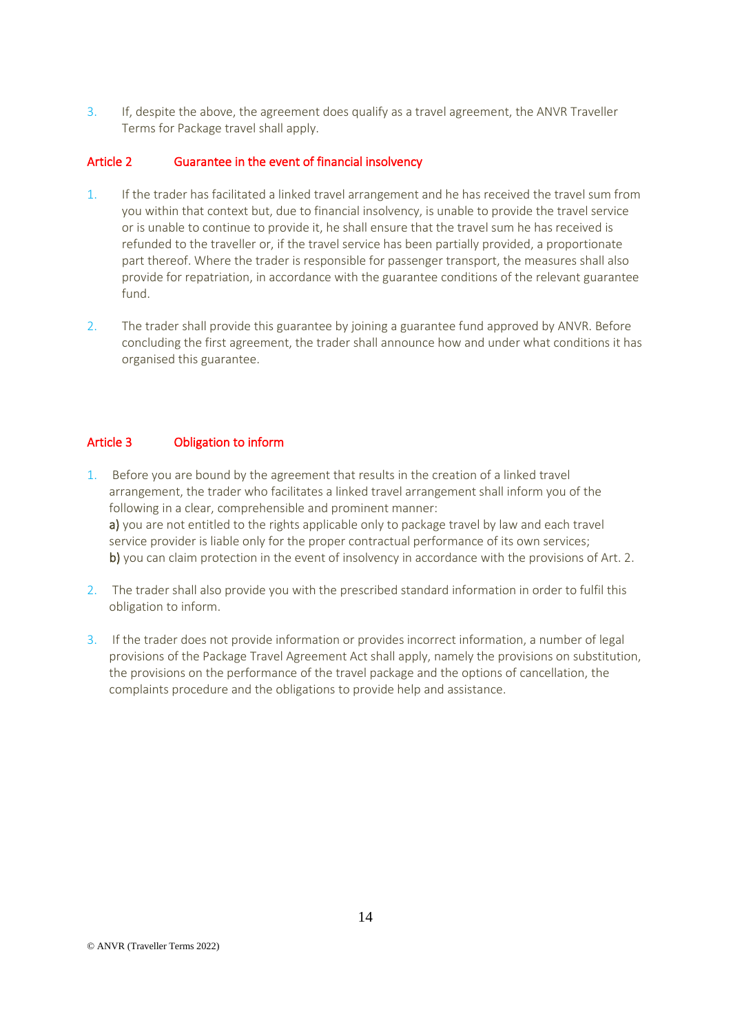3. If, despite the above, the agreement does qualify as a travel agreement, the ANVR Traveller Terms for Package travel shall apply.

## Article 2 Guarantee in the event of financial insolvency

- 1. If the trader has facilitated a linked travel arrangement and he has received the travel sum from you within that context but, due to financial insolvency, is unable to provide the travel service or is unable to continue to provide it, he shall ensure that the travel sum he has received is refunded to the traveller or, if the travel service has been partially provided, a proportionate part thereof. Where the trader is responsible for passenger transport, the measures shall also provide for repatriation, in accordance with the guarantee conditions of the relevant guarantee fund.
- 2. The trader shall provide this guarantee by joining a guarantee fund approved by ANVR. Before concluding the first agreement, the trader shall announce how and under what conditions it has organised this guarantee.

## Article 3 Obligation to inform

- 1. Before you are bound by the agreement that results in the creation of a linked travel arrangement, the trader who facilitates a linked travel arrangement shall inform you of the following in a clear, comprehensible and prominent manner: a) you are not entitled to the rights applicable only to package travel by law and each travel service provider is liable only for the proper contractual performance of its own services; b) you can claim protection in the event of insolvency in accordance with the provisions of Art. 2.
- 2. The trader shall also provide you with the prescribed standard information in order to fulfil this obligation to inform.
- 3. If the trader does not provide information or provides incorrect information, a number of legal provisions of the Package Travel Agreement Act shall apply, namely the provisions on substitution, the provisions on the performance of the travel package and the options of cancellation, the complaints procedure and the obligations to provide help and assistance.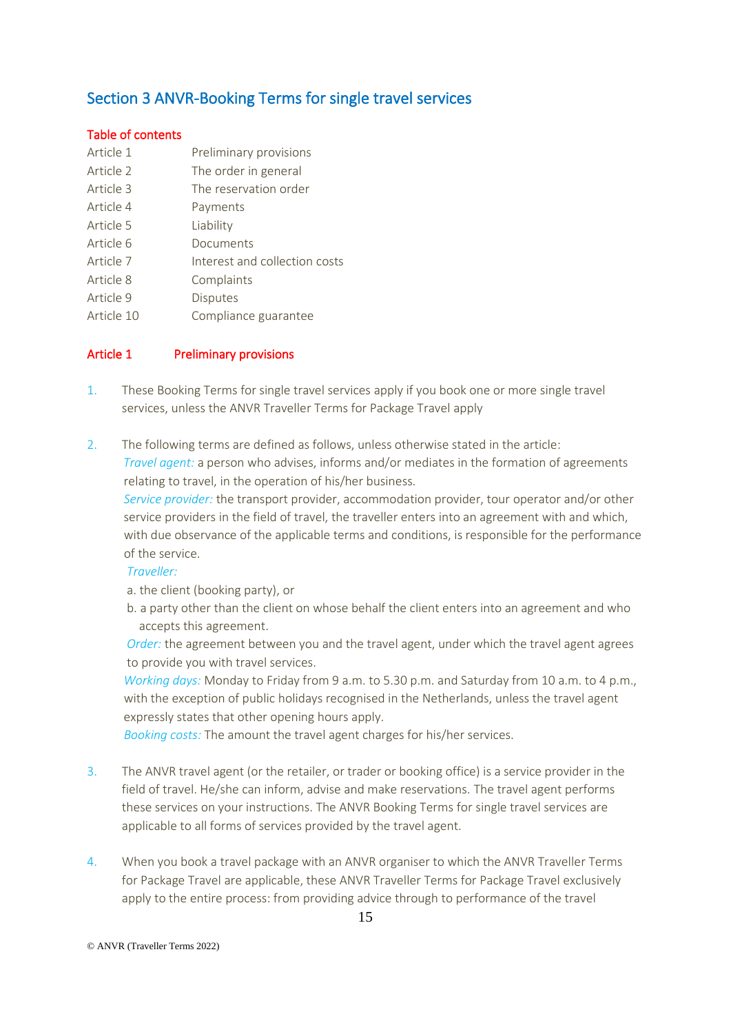# Section 3 ANVR-Booking Terms for single travel services

### Table of contents

- Article 1 **Preliminary provisions**
- Article 2 The order in general
- Article 3 The reservation order
- Article 4 Payments
- Article 5 Liability
- Article 6 Documents
- Article 7 **Interest and collection costs**
- Article 8 Complaints
- Article 9 Disputes
- Article 10 Compliance guarantee

## Article 1 **Preliminary provisions**

- 1. These Booking Terms for single travel services apply if you book one or more single travel services, unless the ANVR Traveller Terms for Package Travel apply
- 2. The following terms are defined as follows, unless otherwise stated in the article: *Travel agent:* a person who advises, informs and/or mediates in the formation of agreements relating to travel, in the operation of his/her business.

 *Service provider:* the transport provider, accommodation provider, tour operator and/or other service providers in the field of travel, the traveller enters into an agreement with and which, with due observance of the applicable terms and conditions, is responsible for the performance of the service.

### *Traveller:*

a. the client (booking party), or

 b. a party other than the client on whose behalf the client enters into an agreement and who accepts this agreement.

 *Order:* the agreement between you and the travel agent, under which the travel agent agrees to provide you with travel services.

 *Working days:* Monday to Friday from 9 a.m. to 5.30 p.m. and Saturday from 10 a.m. to 4 p.m., with the exception of public holidays recognised in the Netherlands, unless the travel agent expressly states that other opening hours apply.

 *Booking costs:* The amount the travel agent charges for his/her services.

- 3. The ANVR travel agent (or the retailer, or trader or booking office) is a service provider in the field of travel. He/she can inform, advise and make reservations. The travel agent performs these services on your instructions. The ANVR Booking Terms for single travel services are applicable to all forms of services provided by the travel agent.
- 4. When you book a travel package with an ANVR organiser to which the ANVR Traveller Terms for Package Travel are applicable, these ANVR Traveller Terms for Package Travel exclusively apply to the entire process: from providing advice through to performance of the travel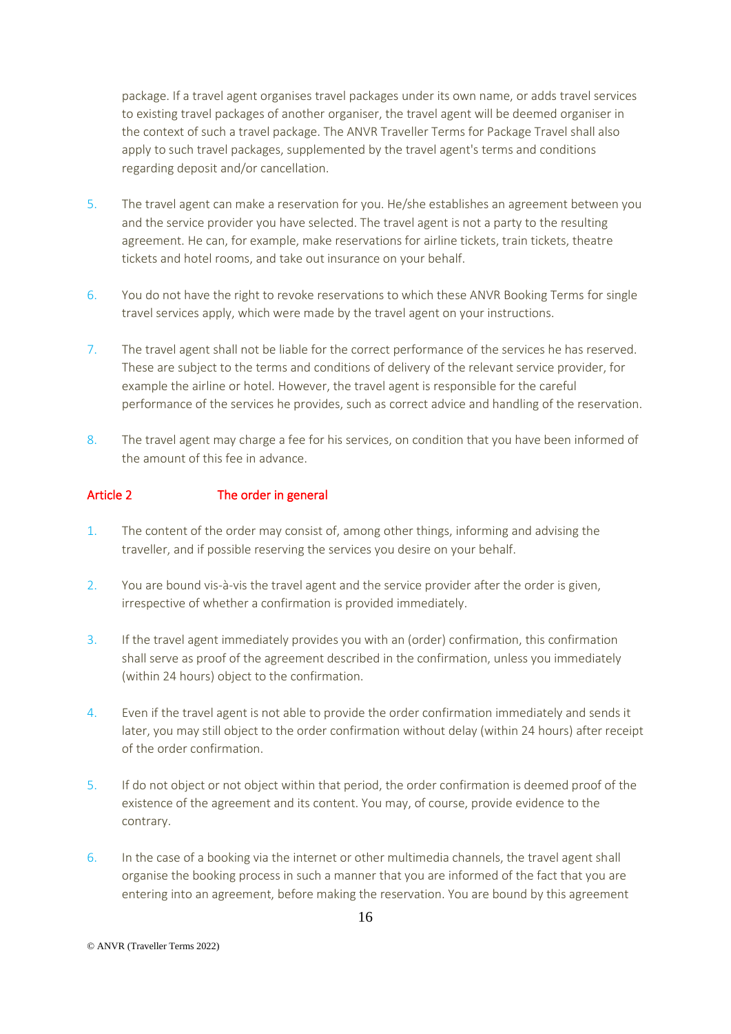package. If a travel agent organises travel packages under its own name, or adds travel services to existing travel packages of another organiser, the travel agent will be deemed organiser in the context of such a travel package. The ANVR Traveller Terms for Package Travel shall also apply to such travel packages, supplemented by the travel agent's terms and conditions regarding deposit and/or cancellation.

- 5. The travel agent can make a reservation for you. He/she establishes an agreement between you and the service provider you have selected. The travel agent is not a party to the resulting agreement. He can, for example, make reservations for airline tickets, train tickets, theatre tickets and hotel rooms, and take out insurance on your behalf.
- 6. You do not have the right to revoke reservations to which these ANVR Booking Terms for single travel services apply, which were made by the travel agent on your instructions.
- 7. The travel agent shall not be liable for the correct performance of the services he has reserved. These are subject to the terms and conditions of delivery of the relevant service provider, for example the airline or hotel. However, the travel agent is responsible for the careful performance of the services he provides, such as correct advice and handling of the reservation.
- 8. The travel agent may charge a fee for his services, on condition that you have been informed of the amount of this fee in advance.

### Article 2 The order in general

- 1. The content of the order may consist of, among other things, informing and advising the traveller, and if possible reserving the services you desire on your behalf.
- 2. You are bound vis-à-vis the travel agent and the service provider after the order is given, irrespective of whether a confirmation is provided immediately.
- 3. If the travel agent immediately provides you with an (order) confirmation, this confirmation shall serve as proof of the agreement described in the confirmation, unless you immediately (within 24 hours) object to the confirmation.
- 4. Even if the travel agent is not able to provide the order confirmation immediately and sends it later, you may still object to the order confirmation without delay (within 24 hours) after receipt of the order confirmation.
- 5. If do not object or not object within that period, the order confirmation is deemed proof of the existence of the agreement and its content. You may, of course, provide evidence to the contrary.
- 6. In the case of a booking via the internet or other multimedia channels, the travel agent shall organise the booking process in such a manner that you are informed of the fact that you are entering into an agreement, before making the reservation. You are bound by this agreement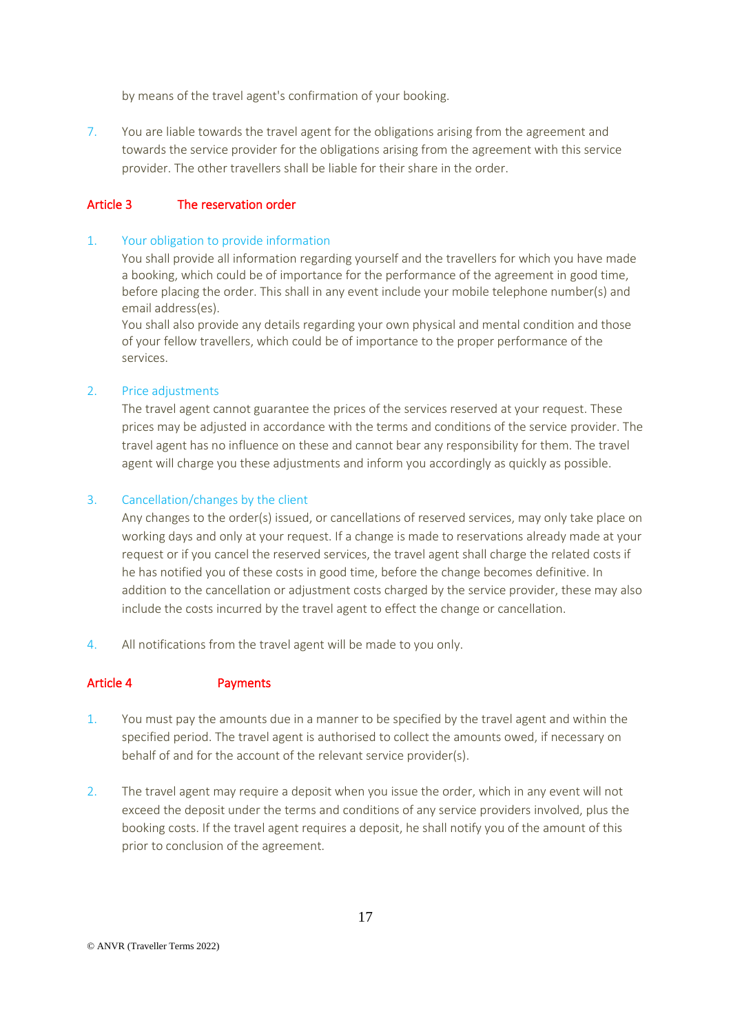by means of the travel agent's confirmation of your booking.

7. You are liable towards the travel agent for the obligations arising from the agreement and towards the service provider for the obligations arising from the agreement with this service provider. The other travellers shall be liable for their share in the order.

## Article 3 The reservation order

### 1. Your obligation to provide information

You shall provide all information regarding yourself and the travellers for which you have made a booking, which could be of importance for the performance of the agreement in good time, before placing the order. This shall in any event include your mobile telephone number(s) and email address(es).

You shall also provide any details regarding your own physical and mental condition and those of your fellow travellers, which could be of importance to the proper performance of the services.

### 2. Price adjustments

The travel agent cannot guarantee the prices of the services reserved at your request. These prices may be adjusted in accordance with the terms and conditions of the service provider. The travel agent has no influence on these and cannot bear any responsibility for them. The travel agent will charge you these adjustments and inform you accordingly as quickly as possible.

### 3. Cancellation/changes by the client

Any changes to the order(s) issued, or cancellations of reserved services, may only take place on working days and only at your request. If a change is made to reservations already made at your request or if you cancel the reserved services, the travel agent shall charge the related costs if he has notified you of these costs in good time, before the change becomes definitive. In addition to the cancellation or adjustment costs charged by the service provider, these may also include the costs incurred by the travel agent to effect the change or cancellation.

4. All notifications from the travel agent will be made to you only.

## Article 4 Payments

- 1. You must pay the amounts due in a manner to be specified by the travel agent and within the specified period. The travel agent is authorised to collect the amounts owed, if necessary on behalf of and for the account of the relevant service provider(s).
- 2. The travel agent may require a deposit when you issue the order, which in any event will not exceed the deposit under the terms and conditions of any service providers involved, plus the booking costs. If the travel agent requires a deposit, he shall notify you of the amount of this prior to conclusion of the agreement.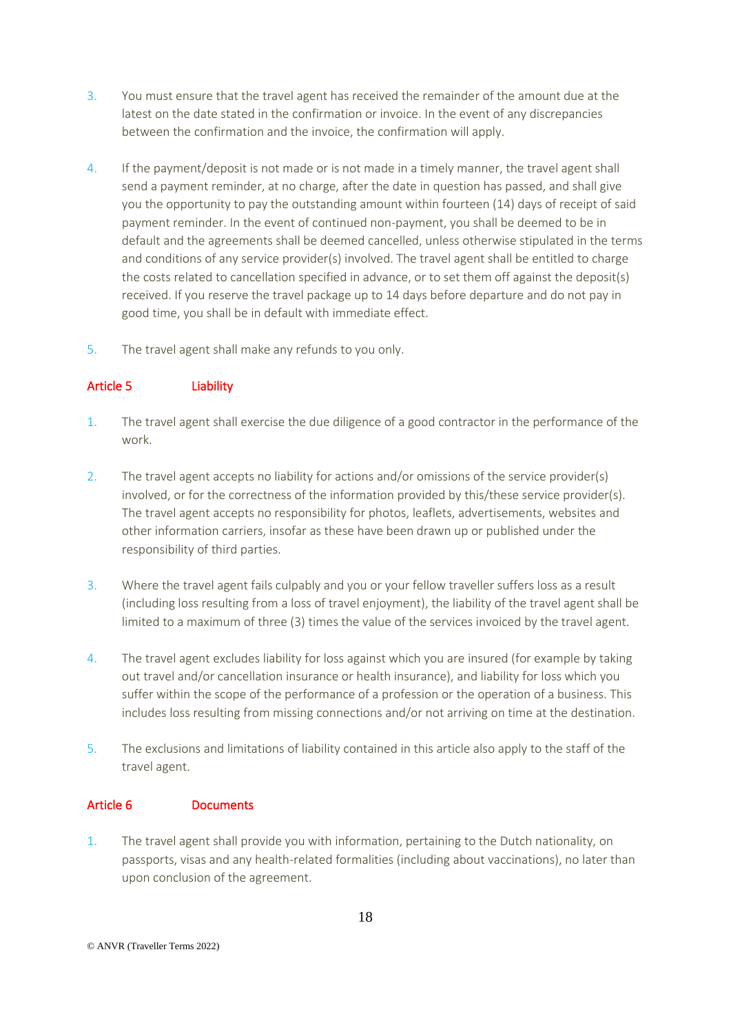- 3. You must ensure that the travel agent has received the remainder of the amount due at the latest on the date stated in the confirmation or invoice. In the event of any discrepancies between the confirmation and the invoice, the confirmation will apply.
- 4. If the payment/deposit is not made or is not made in a timely manner, the travel agent shall send a payment reminder, at no charge, after the date in question has passed, and shall give you the opportunity to pay the outstanding amount within fourteen (14) days of receipt of said payment reminder. In the event of continued non-payment, you shall be deemed to be in default and the agreements shall be deemed cancelled, unless otherwise stipulated in the terms and conditions of any service provider(s) involved. The travel agent shall be entitled to charge the costs related to cancellation specified in advance, or to set them off against the deposit(s) received. If you reserve the travel package up to 14 days before departure and do not pay in good time, you shall be in default with immediate effect.
- 5. The travel agent shall make any refunds to you only.

## Article 5 Liability

- 1. The travel agent shall exercise the due diligence of a good contractor in the performance of the work.
- 2. The travel agent accepts no liability for actions and/or omissions of the service provider(s) involved, or for the correctness of the information provided by this/these service provider(s). The travel agent accepts no responsibility for photos, leaflets, advertisements, websites and other information carriers, insofar as these have been drawn up or published under the responsibility of third parties.
- 3. Where the travel agent fails culpably and you or your fellow traveller suffers loss as a result (including loss resulting from a loss of travel enjoyment), the liability of the travel agent shall be limited to a maximum of three (3) times the value of the services invoiced by the travel agent.
- 4. The travel agent excludes liability for loss against which you are insured (for example by taking out travel and/or cancellation insurance or health insurance), and liability for loss which you suffer within the scope of the performance of a profession or the operation of a business. This includes loss resulting from missing connections and/or not arriving on time at the destination.
- 5. The exclusions and limitations of liability contained in this article also apply to the staff of the travel agent.

## Article 6 Documents

1. The travel agent shall provide you with information, pertaining to the Dutch nationality, on passports, visas and any health-related formalities (including about vaccinations), no later than upon conclusion of the agreement.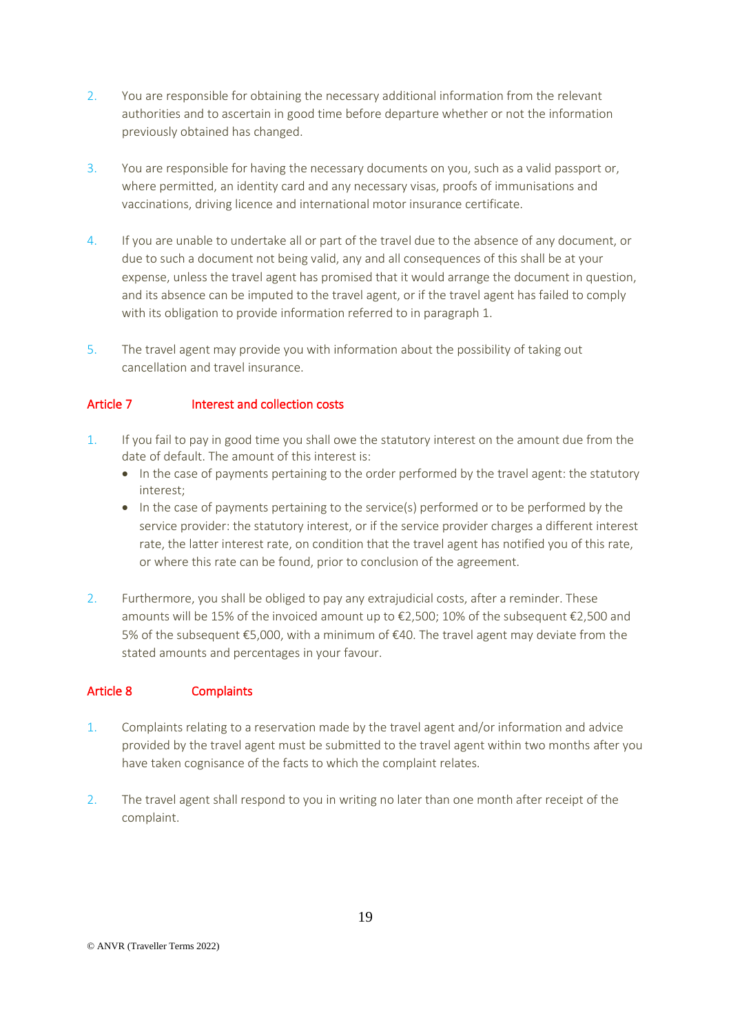- 2. You are responsible for obtaining the necessary additional information from the relevant authorities and to ascertain in good time before departure whether or not the information previously obtained has changed.
- 3. You are responsible for having the necessary documents on you, such as a valid passport or, where permitted, an identity card and any necessary visas, proofs of immunisations and vaccinations, driving licence and international motor insurance certificate.
- 4. If you are unable to undertake all or part of the travel due to the absence of any document, or due to such a document not being valid, any and all consequences of this shall be at your expense, unless the travel agent has promised that it would arrange the document in question, and its absence can be imputed to the travel agent, or if the travel agent has failed to comply with its obligation to provide information referred to in paragraph 1.
- 5. The travel agent may provide you with information about the possibility of taking out cancellation and travel insurance.

### Article 7 **Interest and collection costs**

- 1. If you fail to pay in good time you shall owe the statutory interest on the amount due from the date of default. The amount of this interest is:
	- In the case of payments pertaining to the order performed by the travel agent: the statutory interest;
	- In the case of payments pertaining to the service(s) performed or to be performed by the service provider: the statutory interest, or if the service provider charges a different interest rate, the latter interest rate, on condition that the travel agent has notified you of this rate, or where this rate can be found, prior to conclusion of the agreement.
- 2. Furthermore, you shall be obliged to pay any extrajudicial costs, after a reminder. These amounts will be 15% of the invoiced amount up to €2,500; 10% of the subsequent €2,500 and 5% of the subsequent €5,000, with a minimum of €40. The travel agent may deviate from the stated amounts and percentages in your favour.

## Article 8 Complaints

- 1. Complaints relating to a reservation made by the travel agent and/or information and advice provided by the travel agent must be submitted to the travel agent within two months after you have taken cognisance of the facts to which the complaint relates.
- 2. The travel agent shall respond to you in writing no later than one month after receipt of the complaint.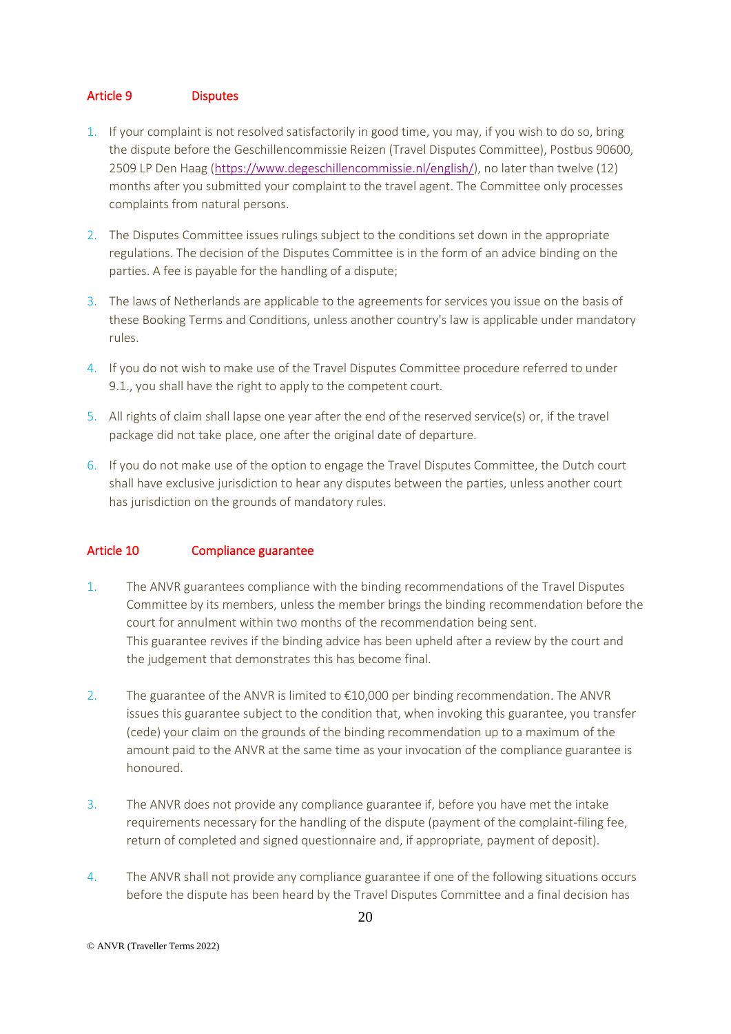## Article 9 Disputes

- 1. If your complaint is not resolved satisfactorily in good time, you may, if you wish to do so, bring the dispute before the Geschillencommissie Reizen (Travel Disputes Committee), Postbus 90600, 2509 LP Den Haag [\(https://www.degeschillencommissie.nl/english/\)](https://www.degeschillencommissie.nl/english/), no later than twelve (12) months after you submitted your complaint to the travel agent. The Committee only processes complaints from natural persons.
- 2. The Disputes Committee issues rulings subject to the conditions set down in the appropriate regulations. The decision of the Disputes Committee is in the form of an advice binding on the parties. A fee is payable for the handling of a dispute;
- 3. The laws of Netherlands are applicable to the agreements for services you issue on the basis of these Booking Terms and Conditions, unless another country's law is applicable under mandatory rules.
- 4. If you do not wish to make use of the Travel Disputes Committee procedure referred to under 9.1., you shall have the right to apply to the competent court.
- 5. All rights of claim shall lapse one year after the end of the reserved service(s) or, if the travel package did not take place, one after the original date of departure.
- 6. If you do not make use of the option to engage the Travel Disputes Committee, the Dutch court shall have exclusive jurisdiction to hear any disputes between the parties, unless another court has jurisdiction on the grounds of mandatory rules.

### Article 10 Compliance guarantee

- 1. The ANVR guarantees compliance with the binding recommendations of the Travel Disputes Committee by its members, unless the member brings the binding recommendation before the court for annulment within two months of the recommendation being sent. This guarantee revives if the binding advice has been upheld after a review by the court and the judgement that demonstrates this has become final.
- 2. The guarantee of the ANVR is limited to €10,000 per binding recommendation. The ANVR issues this guarantee subject to the condition that, when invoking this guarantee, you transfer (cede) your claim on the grounds of the binding recommendation up to a maximum of the amount paid to the ANVR at the same time as your invocation of the compliance guarantee is honoured.
- 3. The ANVR does not provide any compliance guarantee if, before you have met the intake requirements necessary for the handling of the dispute (payment of the complaint-filing fee, return of completed and signed questionnaire and, if appropriate, payment of deposit).
- 4. The ANVR shall not provide any compliance guarantee if one of the following situations occurs before the dispute has been heard by the Travel Disputes Committee and a final decision has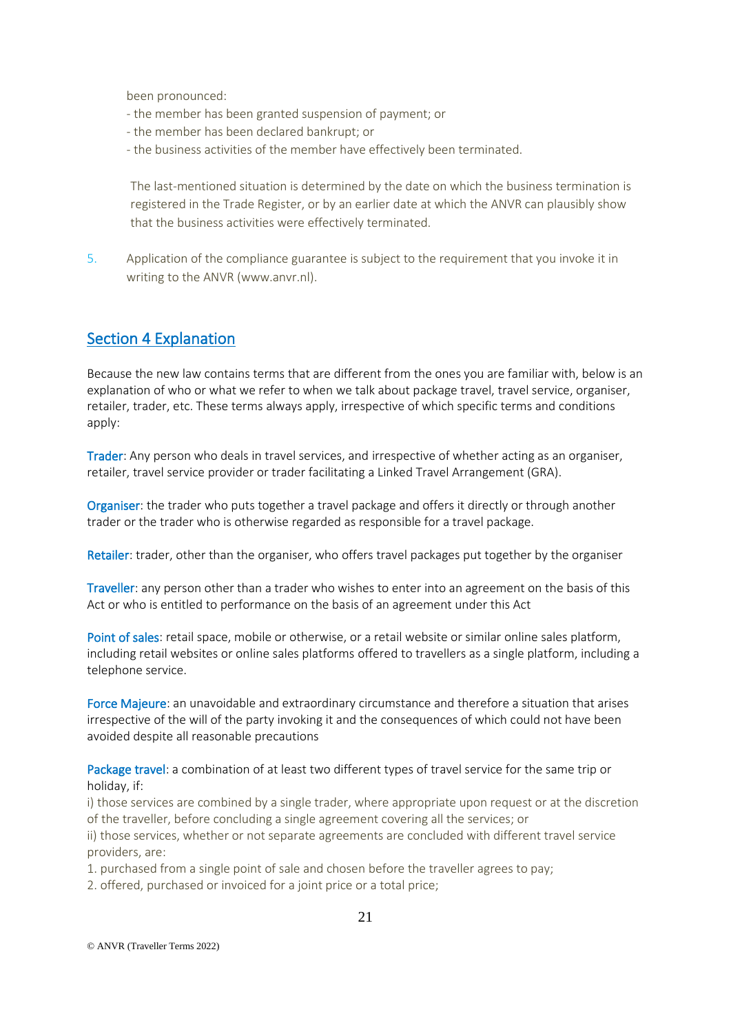been pronounced:

- the member has been granted suspension of payment; or
- the member has been declared bankrupt; or
- the business activities of the member have effectively been terminated.

The last-mentioned situation is determined by the date on which the business termination is registered in the Trade Register, or by an earlier date at which the ANVR can plausibly show that the business activities were effectively terminated.

5. Application of the compliance guarantee is subject to the requirement that you invoke it in writing to the ANVR (www.anvr.nl).

## Section 4 Explanation

Because the new law contains terms that are different from the ones you are familiar with, below is an explanation of who or what we refer to when we talk about package travel, travel service, organiser, retailer, trader, etc. These terms always apply, irrespective of which specific terms and conditions apply:

Trader: Any person who deals in travel services, and irrespective of whether acting as an organiser, retailer, travel service provider or trader facilitating a Linked Travel Arrangement (GRA).

Organiser: the trader who puts together a travel package and offers it directly or through another trader or the trader who is otherwise regarded as responsible for a travel package.

Retailer: trader, other than the organiser, who offers travel packages put together by the organiser

Traveller: any person other than a trader who wishes to enter into an agreement on the basis of this Act or who is entitled to performance on the basis of an agreement under this Act

Point of sales: retail space, mobile or otherwise, or a retail website or similar online sales platform, including retail websites or online sales platforms offered to travellers as a single platform, including a telephone service.

Force Majeure: an unavoidable and extraordinary circumstance and therefore a situation that arises irrespective of the will of the party invoking it and the consequences of which could not have been avoided despite all reasonable precautions

Package travel: a combination of at least two different types of travel service for the same trip or holiday, if:

i) those services are combined by a single trader, where appropriate upon request or at the discretion of the traveller, before concluding a single agreement covering all the services; or

ii) those services, whether or not separate agreements are concluded with different travel service providers, are:

1. purchased from a single point of sale and chosen before the traveller agrees to pay;

2. offered, purchased or invoiced for a joint price or a total price;